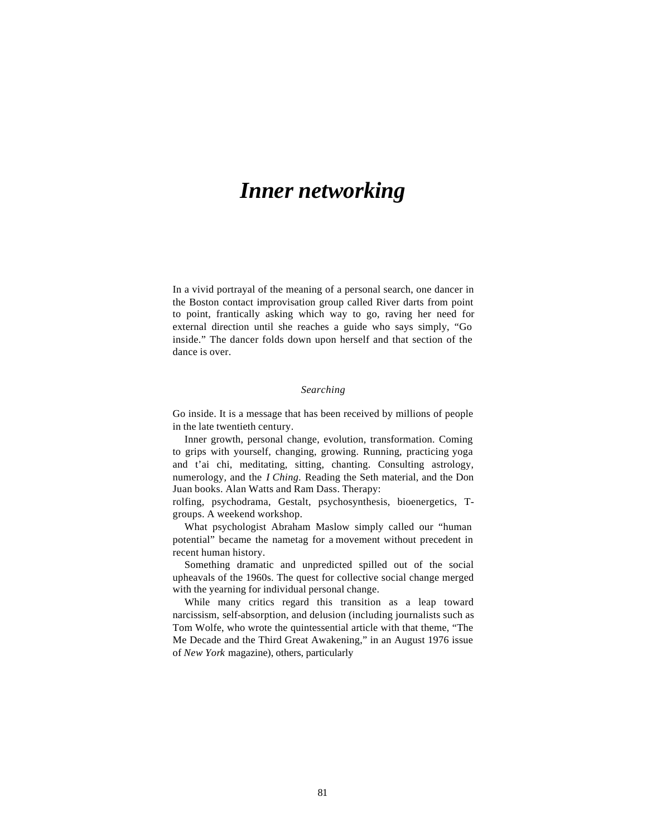# *Inner networking*

In a vivid portrayal of the meaning of a personal search, one dancer in the Boston contact improvisation group called River darts from point to point, frantically asking which way to go, raving her need for external direction until she reaches a guide who says simply, "Go inside." The dancer folds down upon herself and that section of the dance is over.

## *Searching*

Go inside. It is a message that has been received by millions of people in the late twentieth century.

Inner growth, personal change, evolution, transformation. Coming to grips with yourself, changing, growing. Running, practicing yoga and t'ai chi, meditating, sitting, chanting. Consulting astrology, numerology, and the *I Ching.* Reading the Seth material, and the Don Juan books. Alan Watts and Ram Dass. Therapy:

rolfing, psychodrama, Gestalt, psychosynthesis, bioenergetics, Tgroups. A weekend workshop.

What psychologist Abraham Maslow simply called our "human potential" became the nametag for a movement without precedent in recent human history.

Something dramatic and unpredicted spilled out of the social upheavals of the 1960s. The quest for collective social change merged with the yearning for individual personal change.

While many critics regard this transition as a leap toward narcissism, self-absorption, and delusion (including journalists such as Tom Wolfe, who wrote the quintessential article with that theme, "The Me Decade and the Third Great Awakening," in an August 1976 issue of *New York* magazine), others, particularly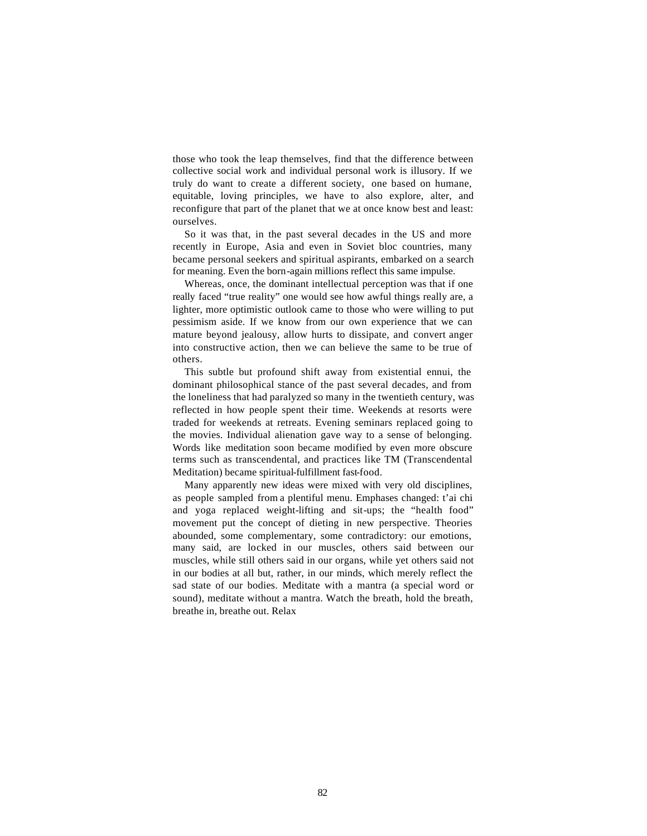those who took the leap themselves, find that the difference between collective social work and individual personal work is illusory. If we truly do want to create a different society, one based on humane, equitable, loving principles, we have to also explore, alter, and reconfigure that part of the planet that we at once know best and least: ourselves.

So it was that, in the past several decades in the US and more recently in Europe, Asia and even in Soviet bloc countries, many became personal seekers and spiritual aspirants, embarked on a search for meaning. Even the born-again millions reflect this same impulse.

Whereas, once, the dominant intellectual perception was that if one really faced "true reality" one would see how awful things really are, a lighter, more optimistic outlook came to those who were willing to put pessimism aside. If we know from our own experience that we can mature beyond jealousy, allow hurts to dissipate, and convert anger into constructive action, then we can believe the same to be true of others.

This subtle but profound shift away from existential ennui, the dominant philosophical stance of the past several decades, and from the loneliness that had paralyzed so many in the twentieth century, was reflected in how people spent their time. Weekends at resorts were traded for weekends at retreats. Evening seminars replaced going to the movies. Individual alienation gave way to a sense of belonging. Words like meditation soon became modified by even more obscure terms such as transcendental, and practices like TM (Transcendental Meditation) became spiritual-fulfillment fast-food.

Many apparently new ideas were mixed with very old disciplines, as people sampled from a plentiful menu. Emphases changed: t'ai chi and yoga replaced weight-lifting and sit-ups; the "health food" movement put the concept of dieting in new perspective. Theories abounded, some complementary, some contradictory: our emotions, many said, are locked in our muscles, others said between our muscles, while still others said in our organs, while yet others said not in our bodies at all but, rather, in our minds, which merely reflect the sad state of our bodies. Meditate with a mantra (a special word or sound), meditate without a mantra. Watch the breath, hold the breath, breathe in, breathe out. Relax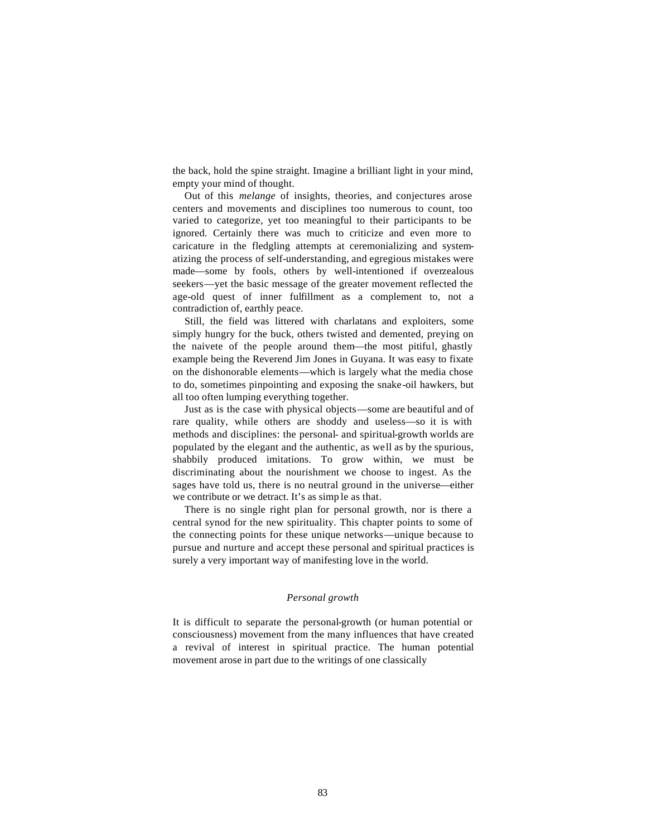the back, hold the spine straight. Imagine a brilliant light in your mind, empty your mind of thought.

Out of this *melange* of insights, theories, and conjectures arose centers and movements and disciplines too numerous to count, too varied to categorize, yet too meaningful to their participants to be ignored. Certainly there was much to criticize and even more to caricature in the fledgling attempts at ceremonializing and systematizing the process of self-understanding, and egregious mistakes were made—some by fools, others by well-intentioned if overzealous seekers—yet the basic message of the greater movement reflected the age-old quest of inner fulfillment as a complement to, not a contradiction of, earthly peace.

Still, the field was littered with charlatans and exploiters, some simply hungry for the buck, others twisted and demented, preying on the naivete of the people around them—the most pitiful, ghastly example being the Reverend Jim Jones in Guyana. It was easy to fixate on the dishonorable elements—which is largely what the media chose to do, sometimes pinpointing and exposing the snake-oil hawkers, but all too often lumping everything together.

Just as is the case with physical objects—some are beautiful and of rare quality, while others are shoddy and useless—so it is with methods and disciplines: the personal- and spiritual-growth worlds are populated by the elegant and the authentic, as well as by the spurious, shabbily produced imitations. To grow within, we must be discriminating about the nourishment we choose to ingest. As the sages have told us, there is no neutral ground in the universe—either we contribute or we detract. It's as simp le as that.

There is no single right plan for personal growth, nor is there a central synod for the new spirituality. This chapter points to some of the connecting points for these unique networks—unique because to pursue and nurture and accept these personal and spiritual practices is surely a very important way of manifesting love in the world.

## *Personal growth*

It is difficult to separate the personal-growth (or human potential or consciousness) movement from the many influences that have created a revival of interest in spiritual practice. The human potential movement arose in part due to the writings of one classically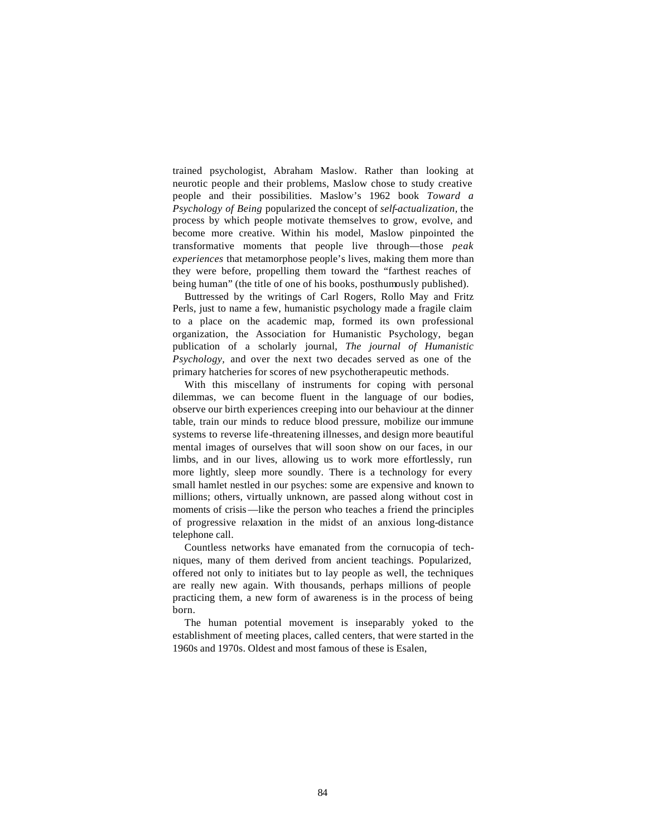trained psychologist, Abraham Maslow. Rather than looking at neurotic people and their problems, Maslow chose to study creative people and their possibilities. Maslow's 1962 book *Toward a Psychology of Being* popularized the concept of *self-actualization,* the process by which people motivate themselves to grow, evolve, and become more creative. Within his model, Maslow pinpointed the transformative moments that people live through—those *peak experiences* that metamorphose people's lives, making them more than they were before, propelling them toward the "farthest reaches of being human" (the title of one of his books, posthumously published).

Buttressed by the writings of Carl Rogers, Rollo May and Fritz Perls, just to name a few, humanistic psychology made a fragile claim to a place on the academic map, formed its own professional organization, the Association for Humanistic Psychology, began publication of a scholarly journal, *The journal of Humanistic Psychology,* and over the next two decades served as one of the primary hatcheries for scores of new psychotherapeutic methods.

With this miscellany of instruments for coping with personal dilemmas, we can become fluent in the language of our bodies, observe our birth experiences creeping into our behaviour at the dinner table, train our minds to reduce blood pressure, mobilize our immune systems to reverse life-threatening illnesses, and design more beautiful mental images of ourselves that will soon show on our faces, in our limbs, and in our lives, allowing us to work more effortlessly, run more lightly, sleep more soundly. There is a technology for every small hamlet nestled in our psyches: some are expensive and known to millions; others, virtually unknown, are passed along without cost in moments of crisis—like the person who teaches a friend the principles of progressive relaxation in the midst of an anxious long-distance telephone call.

Countless networks have emanated from the cornucopia of techniques, many of them derived from ancient teachings. Popularized, offered not only to initiates but to lay people as well, the techniques are really new again. With thousands, perhaps millions of people practicing them, a new form of awareness is in the process of being born.

The human potential movement is inseparably yoked to the establishment of meeting places, called centers, that were started in the 1960s and 1970s. Oldest and most famous of these is Esalen,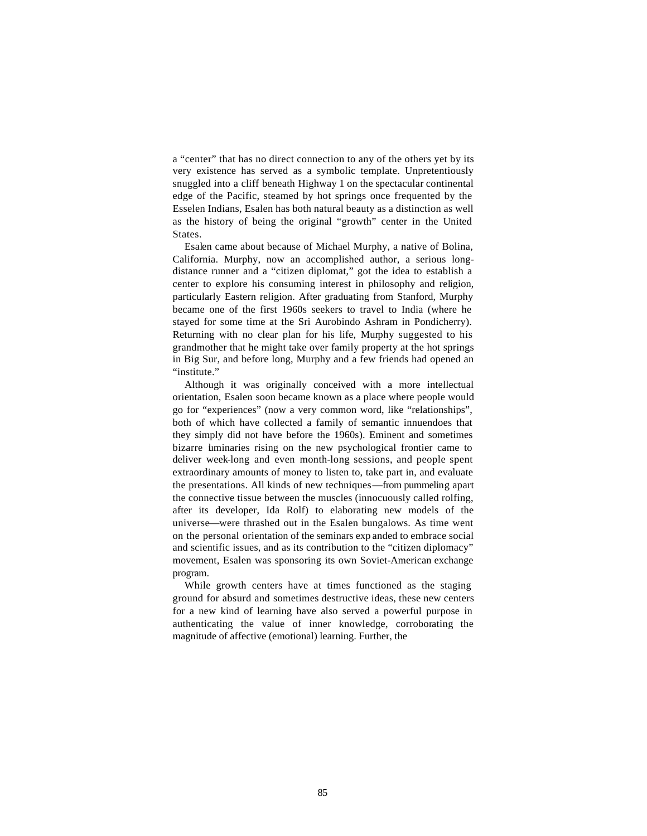a "center" that has no direct connection to any of the others yet by its very existence has served as a symbolic template. Unpretentiously snuggled into a cliff beneath Highway 1 on the spectacular continental edge of the Pacific, steamed by hot springs once frequented by the Esselen Indians, Esalen has both natural beauty as a distinction as well as the history of being the original "growth" center in the United States.

Esalen came about because of Michael Murphy, a native of Bolina, California. Murphy, now an accomplished author, a serious longdistance runner and a "citizen diplomat," got the idea to establish a center to explore his consuming interest in philosophy and religion, particularly Eastern religion. After graduating from Stanford, Murphy became one of the first 1960s seekers to travel to India (where he stayed for some time at the Sri Aurobindo Ashram in Pondicherry). Returning with no clear plan for his life, Murphy suggested to his grandmother that he might take over family property at the hot springs in Big Sur, and before long, Murphy and a few friends had opened an "institute."

Although it was originally conceived with a more intellectual orientation, Esalen soon became known as a place where people would go for "experiences" (now a very common word, like "relationships", both of which have collected a family of semantic innuendoes that they simply did not have before the 1960s). Eminent and sometimes bizarre luminaries rising on the new psychological frontier came to deliver week-long and even month-long sessions, and people spent extraordinary amounts of money to listen to, take part in, and evaluate the presentations. All kinds of new techniques—from pummeling apart the connective tissue between the muscles (innocuously called rolfing, after its developer, Ida Rolf) to elaborating new models of the universe—were thrashed out in the Esalen bungalows. As time went on the personal orientation of the seminars exp anded to embrace social and scientific issues, and as its contribution to the "citizen diplomacy" movement, Esalen was sponsoring its own Soviet-American exchange program.

While growth centers have at times functioned as the staging ground for absurd and sometimes destructive ideas, these new centers for a new kind of learning have also served a powerful purpose in authenticating the value of inner knowledge, corroborating the magnitude of affective (emotional) learning. Further, the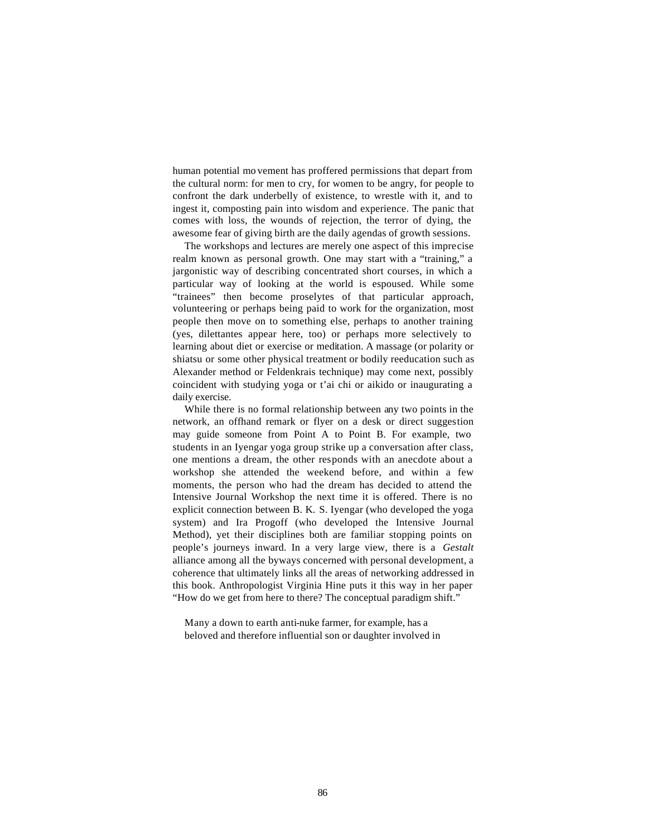human potential mo vement has proffered permissions that depart from the cultural norm: for men to cry, for women to be angry, for people to confront the dark underbelly of existence, to wrestle with it, and to ingest it, composting pain into wisdom and experience. The panic that comes with loss, the wounds of rejection, the terror of dying, the awesome fear of giving birth are the daily agendas of growth sessions.

The workshops and lectures are merely one aspect of this imprecise realm known as personal growth. One may start with a "training," a jargonistic way of describing concentrated short courses, in which a particular way of looking at the world is espoused. While some "trainees" then become proselytes of that particular approach, volunteering or perhaps being paid to work for the organization, most people then move on to something else, perhaps to another training (yes, dilettantes appear here, too) or perhaps more selectively to learning about diet or exercise or meditation. A massage (or polarity or shiatsu or some other physical treatment or bodily reeducation such as Alexander method or Feldenkrais technique) may come next, possibly coincident with studying yoga or t'ai chi or aikido or inaugurating a daily exercise.

While there is no formal relationship between any two points in the network, an offhand remark or flyer on a desk or direct suggestion may guide someone from Point A to Point B. For example, two students in an Iyengar yoga group strike up a conversation after class, one mentions a dream, the other responds with an anecdote about a workshop she attended the weekend before, and within a few moments, the person who had the dream has decided to attend the Intensive Journal Workshop the next time it is offered. There is no explicit connection between B. K. S. Iyengar (who developed the yoga system) and Ira Progoff (who developed the Intensive Journal Method), yet their disciplines both are familiar stopping points on people's journeys inward. In a very large view, there is a *Gestalt*  alliance among all the byways concerned with personal development, a coherence that ultimately links all the areas of networking addressed in this book. Anthropologist Virginia Hine puts it this way in her paper "How do we get from here to there? The conceptual paradigm shift."

Many a down to earth anti-nuke farmer, for example, has a beloved and therefore influential son or daughter involved in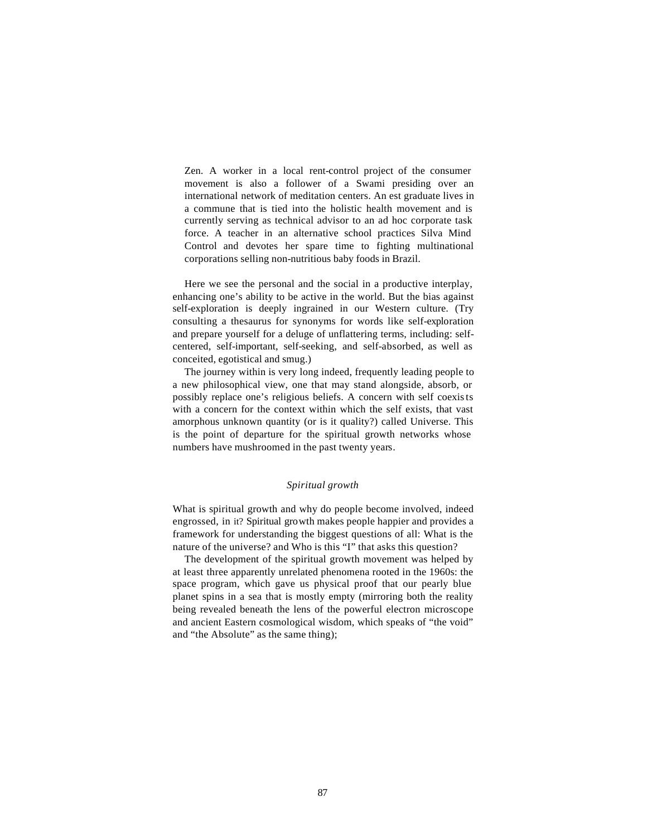Zen. A worker in a local rent-control project of the consumer movement is also a follower of a Swami presiding over an international network of meditation centers. An est graduate lives in a commune that is tied into the holistic health movement and is currently serving as technical advisor to an ad hoc corporate task force. A teacher in an alternative school practices Silva Mind Control and devotes her spare time to fighting multinational corporations selling non-nutritious baby foods in Brazil.

Here we see the personal and the social in a productive interplay, enhancing one's ability to be active in the world. But the bias against self-exploration is deeply ingrained in our Western culture. (Try consulting a thesaurus for synonyms for words like self-exploration and prepare yourself for a deluge of unflattering terms, including: selfcentered, self-important, self-seeking, and self-absorbed, as well as conceited, egotistical and smug.)

The journey within is very long indeed, frequently leading people to a new philosophical view, one that may stand alongside, absorb, or possibly replace one's religious beliefs. A concern with self coexists with a concern for the context within which the self exists, that vast amorphous unknown quantity (or is it quality?) called Universe. This is the point of departure for the spiritual growth networks whose numbers have mushroomed in the past twenty years.

### *Spiritual growth*

What is spiritual growth and why do people become involved, indeed engrossed, in it? Spiritual growth makes people happier and provides a framework for understanding the biggest questions of all: What is the nature of the universe? and Who is this "I" that asks this question?

The development of the spiritual growth movement was helped by at least three apparently unrelated phenomena rooted in the 1960s: the space program, which gave us physical proof that our pearly blue planet spins in a sea that is mostly empty (mirroring both the reality being revealed beneath the lens of the powerful electron microscope and ancient Eastern cosmological wisdom, which speaks of "the void" and "the Absolute" as the same thing);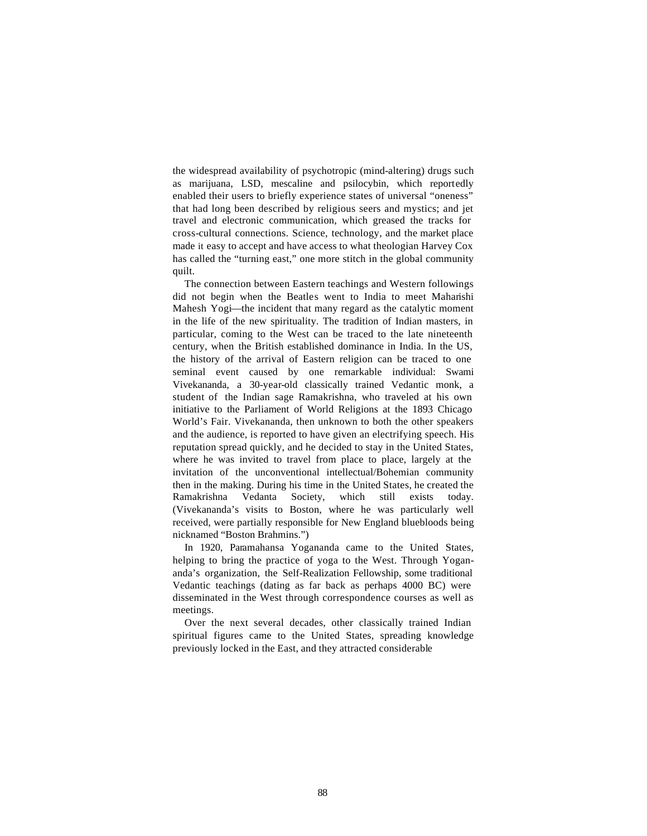the widespread availability of psychotropic (mind-altering) drugs such as marijuana, LSD, mescaline and psilocybin, which reportedly enabled their users to briefly experience states of universal "oneness" that had long been described by religious seers and mystics; and jet travel and electronic communication, which greased the tracks for cross-cultural connections. Science, technology, and the market place made it easy to accept and have access to what theologian Harvey Cox has called the "turning east," one more stitch in the global community quilt.

The connection between Eastern teachings and Western followings did not begin when the Beatles went to India to meet Maharishi Mahesh Yogi—the incident that many regard as the catalytic moment in the life of the new spirituality. The tradition of Indian masters, in particular, coming to the West can be traced to the late nineteenth century, when the British established dominance in India. In the US, the history of the arrival of Eastern religion can be traced to one seminal event caused by one remarkable individual: Swami Vivekananda, a 30-year-old classically trained Vedantic monk, a student of the Indian sage Ramakrishna, who traveled at his own initiative to the Parliament of World Religions at the 1893 Chicago World's Fair. Vivekananda, then unknown to both the other speakers and the audience, is reported to have given an electrifying speech. His reputation spread quickly, and he decided to stay in the United States, where he was invited to travel from place to place, largely at the invitation of the unconventional intellectual/Bohemian community then in the making. During his time in the United States, he created the Ramakrishna Vedanta Society, which still exists today. (Vivekananda's visits to Boston, where he was particularly well received, were partially responsible for New England bluebloods being nicknamed "Boston Brahmins.")

In 1920, Paramahansa Yogananda came to the United States, helping to bring the practice of yoga to the West. Through Yogananda's organization, the Self-Realization Fellowship, some traditional Vedantic teachings (dating as far back as perhaps 4000 BC) were disseminated in the West through correspondence courses as well as meetings.

Over the next several decades, other classically trained Indian spiritual figures came to the United States, spreading knowledge previously locked in the East, and they attracted considerable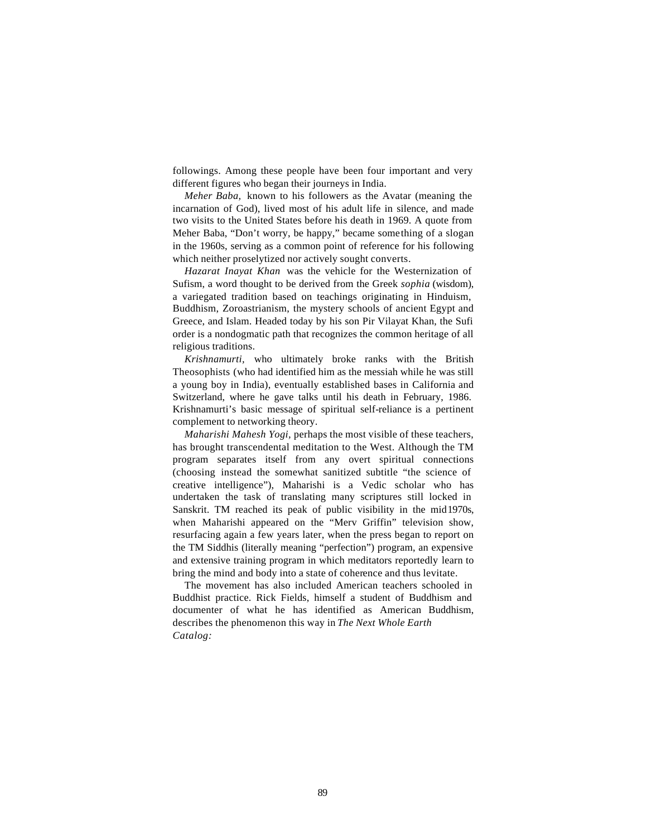followings. Among these people have been four important and very different figures who began their journeys in India.

*Meher Baba,* known to his followers as the Avatar (meaning the incarnation of God), lived most of his adult life in silence, and made two visits to the United States before his death in 1969. A quote from Meher Baba, "Don't worry, be happy," became something of a slogan in the 1960s, serving as a common point of reference for his following which neither proselytized nor actively sought converts.

*Hazarat Inayat Khan* was the vehicle for the Westernization of Sufism, a word thought to be derived from the Greek *sophia* (wisdom), a variegated tradition based on teachings originating in Hinduism, Buddhism, Zoroastrianism, the mystery schools of ancient Egypt and Greece, and Islam. Headed today by his son Pir Vilayat Khan, the Sufi order is a nondogmatic path that recognizes the common heritage of all religious traditions.

*Krishnamurti,* who ultimately broke ranks with the British Theosophists (who had identified him as the messiah while he was still a young boy in India), eventually established bases in California and Switzerland, where he gave talks until his death in February, 1986. Krishnamurti's basic message of spiritual self-reliance is a pertinent complement to networking theory.

*Maharishi Mahesh Yogi,* perhaps the most visible of these teachers, has brought transcendental meditation to the West. Although the TM program separates itself from any overt spiritual connections (choosing instead the somewhat sanitized subtitle "the science of creative intelligence"), Maharishi is a Vedic scholar who has undertaken the task of translating many scriptures still locked in Sanskrit. TM reached its peak of public visibility in the mid1970s, when Maharishi appeared on the "Merv Griffin" television show, resurfacing again a few years later, when the press began to report on the TM Siddhis (literally meaning "perfection") program, an expensive and extensive training program in which meditators reportedly learn to bring the mind and body into a state of coherence and thus levitate.

The movement has also included American teachers schooled in Buddhist practice. Rick Fields, himself a student of Buddhism and documenter of what he has identified as American Buddhism, describes the phenomenon this way in *The Next Whole Earth Catalog:*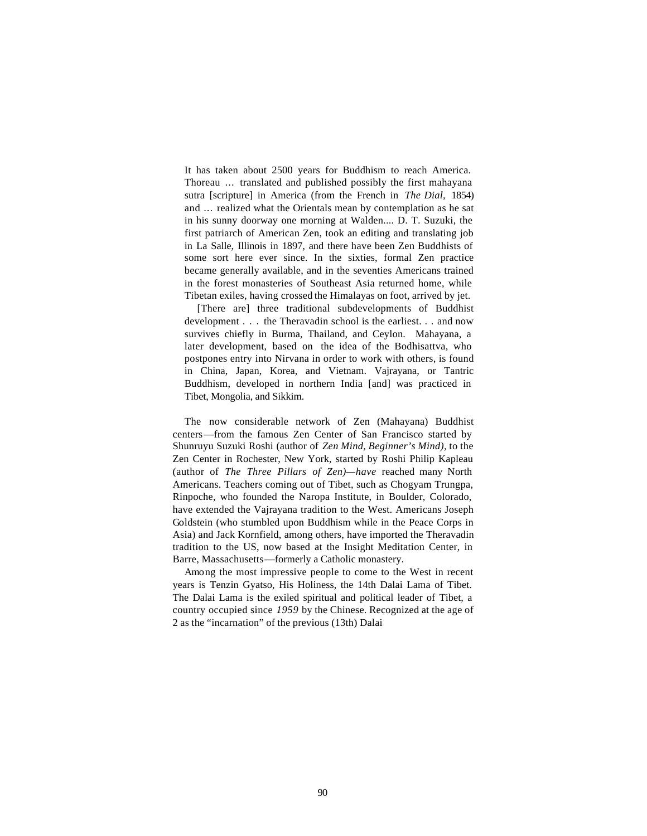It has taken about 2500 years for Buddhism to reach America. Thoreau ... translated and published possibly the first mahayana sutra [scripture] in America (from the French in *The Dial,* 1854) and ... realized what the Orientals mean by contemplation as he sat in his sunny doorway one morning at Walden.... D. T. Suzuki, the first patriarch of American Zen, took an editing and translating job in La Salle, Illinois in 1897, and there have been Zen Buddhists of some sort here ever since. In the sixties, formal Zen practice became generally available, and in the seventies Americans trained in the forest monasteries of Southeast Asia returned home, while Tibetan exiles, having crossed the Himalayas on foot, arrived by jet.

[There are] three traditional subdevelopments of Buddhist development . . . the Theravadin school is the earliest. . . and now survives chiefly in Burma, Thailand, and Ceylon. Mahayana, a later development, based on the idea of the Bodhisattva, who postpones entry into Nirvana in order to work with others, is found in China, Japan, Korea, and Vietnam. Vajrayana, or Tantric Buddhism, developed in northern India [and] was practiced in Tibet, Mongolia, and Sikkim.

The now considerable network of Zen (Mahayana) Buddhist centers—from the famous Zen Center of San Francisco started by Shunruyu Suzuki Roshi (author of *Zen Mind, Beginner's Mind),* to the Zen Center in Rochester, New York, started by Roshi Philip Kapleau (author of *The Three Pillars of Zen)—have* reached many North Americans. Teachers coming out of Tibet, such as Chogyam Trungpa, Rinpoche, who founded the Naropa Institute, in Boulder, Colorado, have extended the Vajrayana tradition to the West. Americans Joseph Goldstein (who stumbled upon Buddhism while in the Peace Corps in Asia) and Jack Kornfield, among others, have imported the Theravadin tradition to the US, now based at the Insight Meditation Center, in Barre, Massachusetts—formerly a Catholic monastery.

Among the most impressive people to come to the West in recent years is Tenzin Gyatso, His Holiness, the 14th Dalai Lama of Tibet. The Dalai Lama is the exiled spiritual and political leader of Tibet, a country occupied since *1959* by the Chinese. Recognized at the age of 2 as the "incarnation" of the previous (13th) Dalai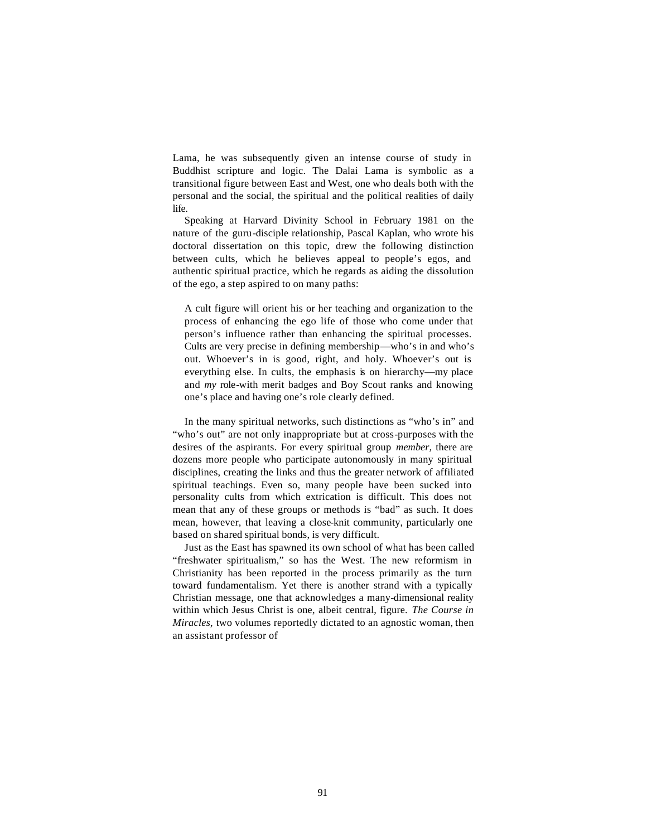Lama, he was subsequently given an intense course of study in Buddhist scripture and logic. The Dalai Lama is symbolic as a transitional figure between East and West, one who deals both with the personal and the social, the spiritual and the political realities of daily life.

Speaking at Harvard Divinity School in February 1981 on the nature of the guru-disciple relationship, Pascal Kaplan, who wrote his doctoral dissertation on this topic, drew the following distinction between cults, which he believes appeal to people's egos, and authentic spiritual practice, which he regards as aiding the dissolution of the ego, a step aspired to on many paths:

A cult figure will orient his or her teaching and organization to the process of enhancing the ego life of those who come under that person's influence rather than enhancing the spiritual processes. Cults are very precise in defining membership—who's in and who's out. Whoever's in is good, right, and holy. Whoever's out is everything else. In cults, the emphasis is on hierarchy—my place and *my* role-with merit badges and Boy Scout ranks and knowing one's place and having one's role clearly defined.

In the many spiritual networks, such distinctions as "who's in" and "who's out" are not only inappropriate but at cross-purposes with the desires of the aspirants. For every spiritual group *member,* there are dozens more people who participate autonomously in many spiritual disciplines, creating the links and thus the greater network of affiliated spiritual teachings. Even so, many people have been sucked into personality cults from which extrication is difficult. This does not mean that any of these groups or methods is "bad" as such. It does mean, however, that leaving a close-knit community, particularly one based on shared spiritual bonds, is very difficult.

Just as the East has spawned its own school of what has been called "freshwater spiritualism," so has the West. The new reformism in Christianity has been reported in the process primarily as the turn toward fundamentalism. Yet there is another strand with a typically Christian message, one that acknowledges a many-dimensional reality within which Jesus Christ is one, albeit central, figure. *The Course in Miracles,* two volumes reportedly dictated to an agnostic woman, then an assistant professor of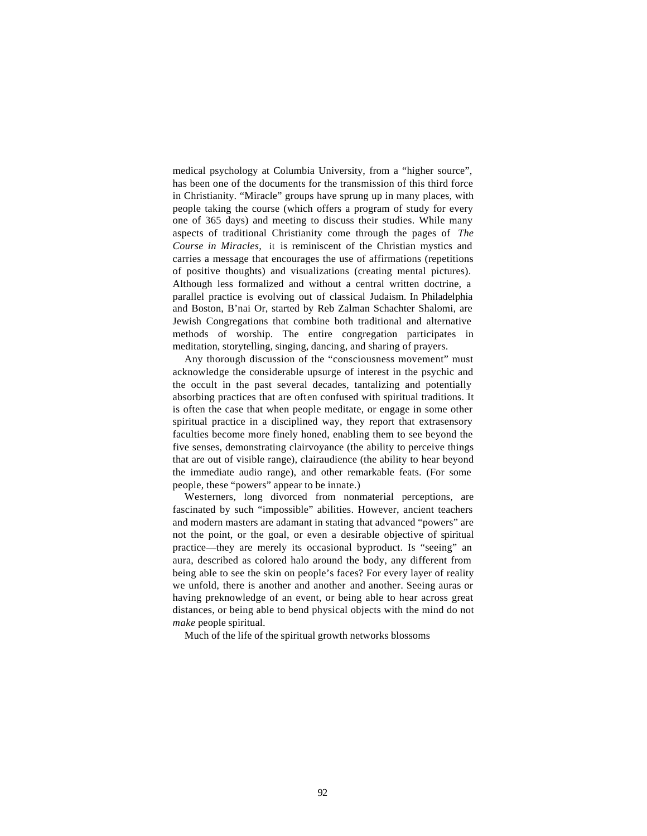medical psychology at Columbia University, from a "higher source", has been one of the documents for the transmission of this third force in Christianity. "Miracle" groups have sprung up in many places, with people taking the course (which offers a program of study for every one of 365 days) and meeting to discuss their studies. While many aspects of traditional Christianity come through the pages of *The Course in Miracles,* it is reminiscent of the Christian mystics and carries a message that encourages the use of affirmations (repetitions of positive thoughts) and visualizations (creating mental pictures). Although less formalized and without a central written doctrine, a parallel practice is evolving out of classical Judaism. In Philadelphia and Boston, B'nai Or, started by Reb Zalman Schachter Shalomi, are Jewish Congregations that combine both traditional and alternative methods of worship. The entire congregation participates in meditation, storytelling, singing, dancing, and sharing of prayers.

Any thorough discussion of the "consciousness movement" must acknowledge the considerable upsurge of interest in the psychic and the occult in the past several decades, tantalizing and potentially absorbing practices that are often confused with spiritual traditions. It is often the case that when people meditate, or engage in some other spiritual practice in a disciplined way, they report that extrasensory faculties become more finely honed, enabling them to see beyond the five senses, demonstrating clairvoyance (the ability to perceive things that are out of visible range), clairaudience (the ability to hear beyond the immediate audio range), and other remarkable feats. (For some people, these "powers" appear to be innate.)

Westerners, long divorced from nonmaterial perceptions, are fascinated by such "impossible" abilities. However, ancient teachers and modern masters are adamant in stating that advanced "powers" are not the point, or the goal, or even a desirable objective of spiritual practice—they are merely its occasional byproduct. Is "seeing" an aura, described as colored halo around the body, any different from being able to see the skin on people's faces? For every layer of reality we unfold, there is another and another and another. Seeing auras or having preknowledge of an event, or being able to hear across great distances, or being able to bend physical objects with the mind do not *make* people spiritual.

Much of the life of the spiritual growth networks blossoms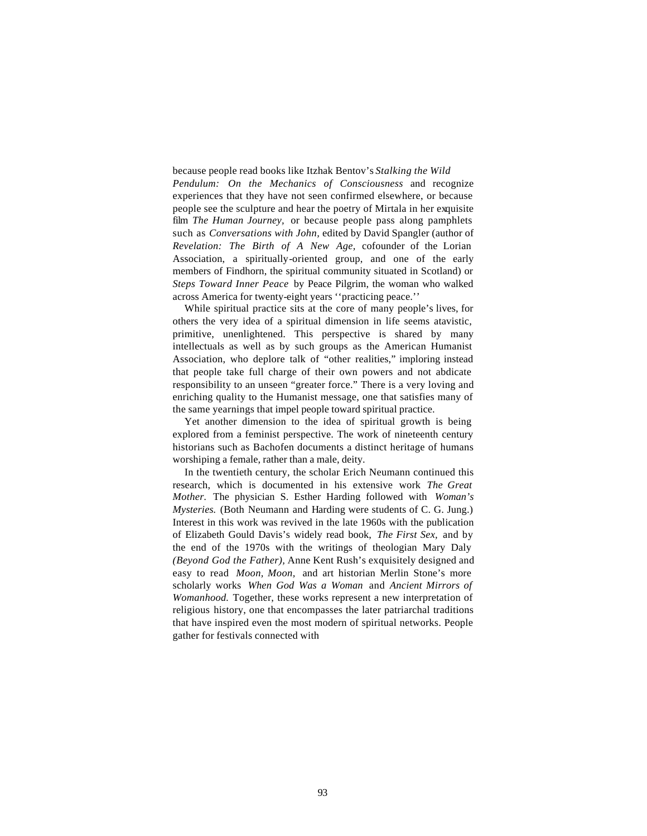because people read books like Itzhak Bentov's *Stalking the Wild Pendulum: On the Mechanics of Consciousness* and recognize experiences that they have not seen confirmed elsewhere, or because people see the sculpture and hear the poetry of Mirtala in her exquisite film *The Human Journey,* or because people pass along pamphlets such as *Conversations with John,* edited by David Spangler (author of *Revelation: The Birth of A New Age,* cofounder of the Lorian Association, a spiritually-oriented group, and one of the early members of Findhorn, the spiritual community situated in Scotland) or *Steps Toward Inner Peace* by Peace Pilgrim, the woman who walked across America for twenty-eight years ''practicing peace.''

While spiritual practice sits at the core of many people's lives, for others the very idea of a spiritual dimension in life seems atavistic, primitive, unenlightened. This perspective is shared by many intellectuals as well as by such groups as the American Humanist Association, who deplore talk of "other realities," imploring instead that people take full charge of their own powers and not abdicate responsibility to an unseen "greater force." There is a very loving and enriching quality to the Humanist message, one that satisfies many of the same yearnings that impel people toward spiritual practice.

Yet another dimension to the idea of spiritual growth is being explored from a feminist perspective. The work of nineteenth century historians such as Bachofen documents a distinct heritage of humans worshiping a female, rather than a male, deity.

In the twentieth century, the scholar Erich Neumann continued this research, which is documented in his extensive work *The Great Mother.* The physician S. Esther Harding followed with *Woman's Mysteries.* (Both Neumann and Harding were students of C. G. Jung.) Interest in this work was revived in the late 1960s with the publication of Elizabeth Gould Davis's widely read book, *The First Sex,* and by the end of the 1970s with the writings of theologian Mary Daly *(Beyond God the Father),* Anne Kent Rush's exquisitely designed and easy to read *Moon, Moon,* and art historian Merlin Stone's more scholarly works *When God Was a Woman* and *Ancient Mirrors of Womanhood.* Together, these works represent a new interpretation of religious history, one that encompasses the later patriarchal traditions that have inspired even the most modern of spiritual networks. People gather for festivals connected with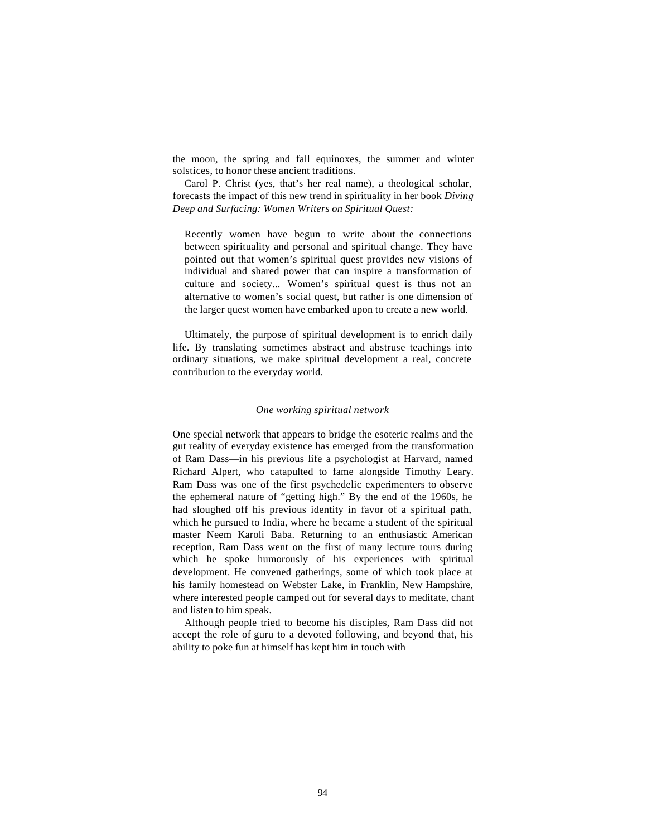the moon, the spring and fall equinoxes, the summer and winter solstices, to honor these ancient traditions.

Carol P. Christ (yes, that's her real name), a theological scholar, forecasts the impact of this new trend in spirituality in her book *Diving Deep and Surfacing: Women Writers on Spiritual Quest:*

Recently women have begun to write about the connections between spirituality and personal and spiritual change. They have pointed out that women's spiritual quest provides new visions of individual and shared power that can inspire a transformation of culture and society... Women's spiritual quest is thus not an alternative to women's social quest, but rather is one dimension of the larger quest women have embarked upon to create a new world.

Ultimately, the purpose of spiritual development is to enrich daily life. By translating sometimes abstract and abstruse teachings into ordinary situations, we make spiritual development a real, concrete contribution to the everyday world.

### *One working spiritual network*

One special network that appears to bridge the esoteric realms and the gut reality of everyday existence has emerged from the transformation of Ram Dass—in his previous life a psychologist at Harvard, named Richard Alpert, who catapulted to fame alongside Timothy Leary. Ram Dass was one of the first psychedelic experimenters to observe the ephemeral nature of "getting high." By the end of the 1960s, he had sloughed off his previous identity in favor of a spiritual path, which he pursued to India, where he became a student of the spiritual master Neem Karoli Baba. Returning to an enthusiastic American reception, Ram Dass went on the first of many lecture tours during which he spoke humorously of his experiences with spiritual development. He convened gatherings, some of which took place at his family homestead on Webster Lake, in Franklin, New Hampshire, where interested people camped out for several days to meditate, chant and listen to him speak.

Although people tried to become his disciples, Ram Dass did not accept the role of guru to a devoted following, and beyond that, his ability to poke fun at himself has kept him in touch with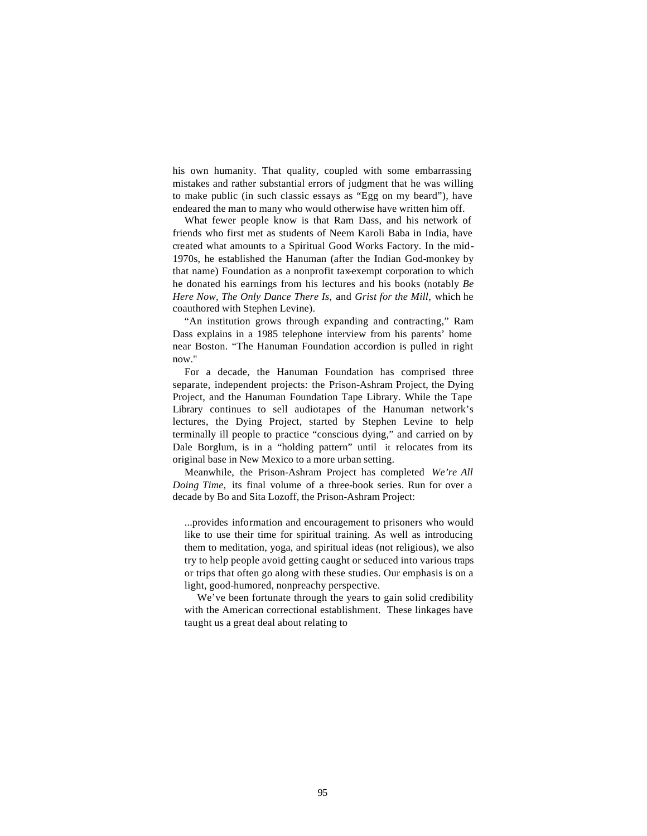his own humanity. That quality, coupled with some embarrassing mistakes and rather substantial errors of judgment that he was willing to make public (in such classic essays as "Egg on my beard"), have endeared the man to many who would otherwise have written him off.

What fewer people know is that Ram Dass, and his network of friends who first met as students of Neem Karoli Baba in India, have created what amounts to a Spiritual Good Works Factory. In the mid-1970s, he established the Hanuman (after the Indian God-monkey by that name) Foundation as a nonprofit tax-exempt corporation to which he donated his earnings from his lectures and his books (notably *Be Here Now, The Only Dance There Is,* and *Grist for the Mill,* which he coauthored with Stephen Levine).

"An institution grows through expanding and contracting," Ram Dass explains in a 1985 telephone interview from his parents' home near Boston. "The Hanuman Foundation accordion is pulled in right now."

For a decade, the Hanuman Foundation has comprised three separate, independent projects: the Prison-Ashram Project, the Dying Project, and the Hanuman Foundation Tape Library. While the Tape Library continues to sell audiotapes of the Hanuman network's lectures, the Dying Project, started by Stephen Levine to help terminally ill people to practice "conscious dying," and carried on by Dale Borglum, is in a "holding pattern" until it relocates from its original base in New Mexico to a more urban setting.

Meanwhile, the Prison-Ashram Project has completed *We're All Doing Time,* its final volume of a three-book series. Run for over a decade by Bo and Sita Lozoff, the Prison-Ashram Project:

...provides information and encouragement to prisoners who would like to use their time for spiritual training. As well as introducing them to meditation, yoga, and spiritual ideas (not religious), we also try to help people avoid getting caught or seduced into various traps or trips that often go along with these studies. Our emphasis is on a light, good-humored, nonpreachy perspective.

We've been fortunate through the years to gain solid credibility with the American correctional establishment. These linkages have taught us a great deal about relating to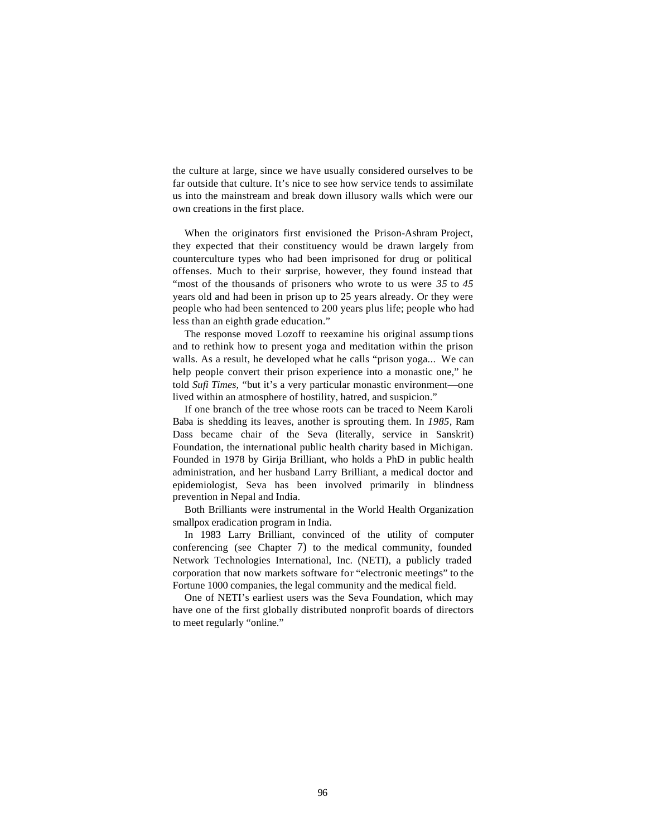the culture at large, since we have usually considered ourselves to be far outside that culture. It's nice to see how service tends to assimilate us into the mainstream and break down illusory walls which were our own creations in the first place.

When the originators first envisioned the Prison-Ashram Project, they expected that their constituency would be drawn largely from counterculture types who had been imprisoned for drug or political offenses. Much to their surprise, however, they found instead that "most of the thousands of prisoners who wrote to us were *35* to *45*  years old and had been in prison up to 25 years already. Or they were people who had been sentenced to 200 years plus life; people who had less than an eighth grade education."

The response moved Lozoff to reexamine his original assump tions and to rethink how to present yoga and meditation within the prison walls. As a result, he developed what he calls "prison yoga... We can help people convert their prison experience into a monastic one," he told *Sufi Times,* "but it's a very particular monastic environment—one lived within an atmosphere of hostility, hatred, and suspicion."

If one branch of the tree whose roots can be traced to Neem Karoli Baba is shedding its leaves, another is sprouting them. In *1985,* Ram Dass became chair of the Seva (literally, service in Sanskrit) Foundation, the international public health charity based in Michigan. Founded in 1978 by Girija Brilliant, who holds a PhD in public health administration, and her husband Larry Brilliant, a medical doctor and epidemiologist, Seva has been involved primarily in blindness prevention in Nepal and India.

Both Brilliants were instrumental in the World Health Organization smallpox eradication program in India.

In 1983 Larry Brilliant, convinced of the utility of computer conferencing (see Chapter 7) to the medical community, founded Network Technologies International, Inc. (NETI), a publicly traded corporation that now markets software for "electronic meetings" to the Fortune 1000 companies, the legal community and the medical field.

One of NETI's earliest users was the Seva Foundation, which may have one of the first globally distributed nonprofit boards of directors to meet regularly "online."